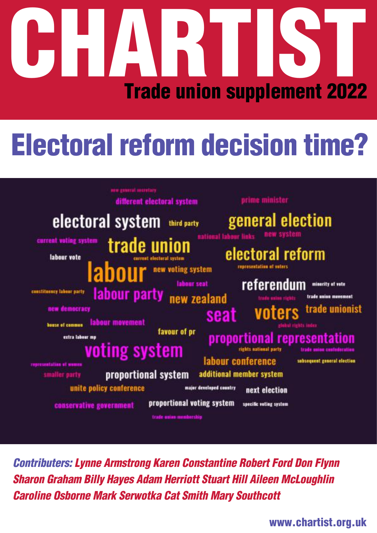# **CHARTIST Trade union supplement 2022**

# **Electoral reform decision time?**



*Contributers: Lynne Armstrong Karen Constantine Robert Ford Don Flynn Sharon Graham Billy Hayes Adam Herriott Stuart Hill Aileen McLoughlin Caroline Osborne Mark Serwotka Cat Smith Mary Southcott*

**www.chartist.org.uk**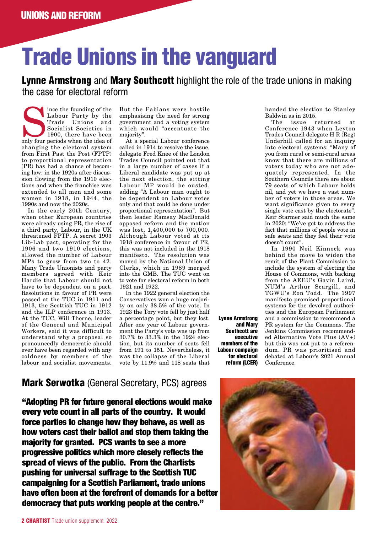# **Trade Unions in the vanguard**

### **Lynne Armstrong** and **Mary Southcott** highlight the role of the trade unions in making the case for electoral reform

Since the founding of the Labour Party by the Trade Unions and Socialist Societies in 1900, there have been only four periods when the idea of Labour Party by the Trade Unions and Socialist Societies in 1900, there have been changing the electoral system from First Past the Post (FPTP) to proportional representation (PR) has had a chance of becoming law: in the 1920s after discussion flowing from the 1910 elections and when the franchise was extended to all men and some women in 1918, in 1944, the 1990s and now the 2020s.

In the early 20th Century, when other European countries were already using PR, the rise of a third party, Labour, in the UK threatened FPTP. A secret 1903 Lib-Lab pact, operating for the 1906 and two 1910 elections, allowed the number of Labour MPs to grow from two to 42. Many Trade Unionists and party members agreed with Keir Hardie that Labour should not have to be dependent on a pact. Resolutions in favour of PR were passed at the TUC in 1911 and 1913, the Scottish TUC in 1912 and the ILP conference in 1913. At the TUC, Will Thorne, leader of the General and Municipal Workers, said it was difficult to understand why a proposal so pronouncedly democratic should ever have been regarded with any coldness by members of the labour and socialist movements.

But the Fabians were hostile emphasising the need for strong government and a voting system which would "accentuate the majority".

At a special Labour conference called in 1914 to resolve the issue, delegate Fred Knee of the London Trades Council pointed out that in a large number of cases if a Liberal candidate was put up at the next election, the sitting Labour MP would be ousted, adding "A Labour man ought to be dependent on Labour votes only and that could be done under proportional representation". But then leader Ramsay MacDonald opposed reform and the motion was lost, 1,400,000 to 700,000. Although Labour voted at its 1918 conference in favour of PR, this was not included in the 1918 manifesto. The resolution was moved by the National Union of Clerks, which in 1989 merged into the GMB. The TUC went on to vote for electoral reform in both 1921 and 1922.

In the 1922 general election the Conservatives won a huge majority on only 38.5% of the vote. In 1923 the Tory vote fell by just half a percentage point, but they lost. After one year of Labour government the Party's vote was up from 30.7% to 33.3% in the 1924 election, but its number of seats fell from 191 to 151. Nevertheless, it was the collapse of the Liberal vote by 11.9% and 118 seats that

**Lynne Armstrong and Mary Southcott are executive members of the Labour campaign for electoral reform (LCER)** handed the election to Stanley Baldwin as in 2015.

The issue returned at Conference 1943 when Leyton Trades Council delegate H R (Reg) Underhill called for an inquiry into electoral systems: "Many of you from rural or semi-rural areas know that there are millions of voters today who are not adequately represented. In the Southern Councils there are about 79 seats of which Labour holds nil, and yet we have a vast number of voters in those areas. We want significance given to every single vote cast by the electorate". Keir Starmer said much the same in 2020: "We've got to address the fact that millions of people vote in safe seats and they feel their vote doesn't count".

In 1990 Neil Kinnock was behind the move to widen the remit of the Plant Commission to include the system of electing the House of Commons, with backing from the AEEU's Gavin Laird, NUM's Arthur Scargill, and TGWU's Ron Todd. The 1997 manifesto promised proportional systems for the devolved authorities and the European Parliament and a commission to recommend a PR system for the Commons. The Jenkins Commission recommended Αlternative Vote Plus (AV+) but this was not put to a referendum. PR was prioritised and debated at Labour's 2021 Annual Conference.

# **Mark Serwotka** (General Secretary, PCS) agrees

**"Adopting PR for future general elections would make every vote count in all parts of the country. It would force parties to change how they behave, as well as how voters cast their ballot and stop them taking the majority for granted. PCS wants to see a more progressive politics which more closely reflects the spread of views of the public. From the Chartists pushing for universal suffrage to the Scottish TUC campaigning for a Scottish Parliament, trade unions have often been at the forefront of demands for a better democracy that puts working people at the centre."**

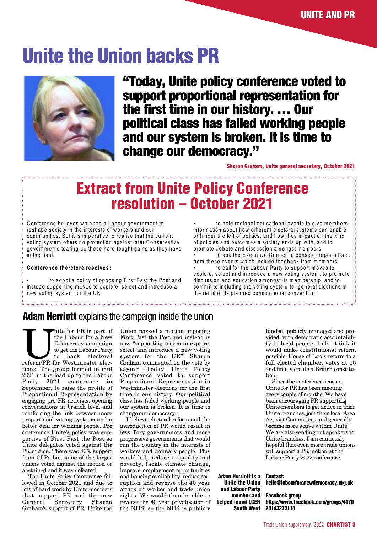# **Unite the Union backs PR**



**"Today, Unite policy conference voted to support proportional representation for the first time in our history. … Our political class has failed working people and our system is broken. It is time to change our democracy."**

**Sharon Graham, Unite general secretary, October 2021**

# **Extract from Unite Policy Conference resolution – October 2021**

Conference believes we need a Labour governm ent to reshape society in the interests of workers and our communities. But it is imperative to realise that the current voting system offers no protection against later Conservative governm ents tearing up these hard fought gains as they have in the past.

#### **Conference therefore resolves:**

to adopt a policy of opposing First Past the Post and instead supporting m oves to explore, select and introduce a new voting system for the UK

to hold regional educational events to give members inform ation about how different electoral systems can enable or hinder the left of politics, and how they im pact on the kind of policies and outcom es a society ends up with, and to prom ote debate and discussion am ongst m em bers

to ask the Executive Council to consider reports back from these events which include feedback from members to call for the Labour Party to support moves to

explore, select and introduce a new voting system , to prom ote discussion and education amongst its membership, and to commit to including the voting system for general elections in the rem it of its planned constitutional convention."

### **Adam Herriott** explains the campaign inside the union

The Unite for PR is part of the Labour for a New Democracy campaign to get the Labour Party reform/PR for Westminster electhe Labour for a New Democracy campaign to get the Labour Party to back electoral tions. The group formed in mid 2021 in the lead up to the Labour Party 2021 conference in September, to raise the profile of Proportional Representation by engaging pro PR activists, opening conversations at branch level and reinforcing the link between more proportional voting systems and a better deal for working people. Pre conference Unite's policy was supportive of First Past the Post so Unite delegates voted against the PR motion. There was 80% support from CLPs but some of the larger unions voted against the motion or abstained and it was defeated.

The Unite Policy Conference followed in October 2021 and due to lots of hard work by Unite members that support PR and the new<br>General Secretary Sharon Secretary Graham's support of PR, Unite the

Union passed a motion opposing First Past the Post and instead is now "supporting moves to explore, select and introduce a new voting system for the UK". Sharon Graham commented on the vote by saying "Today, Unite Policy Conference voted to support Proportional Representation in Westminster elections for the first time in our history. Our political class has failed working people and our system is broken. It is time to change our democracy."

I believe electoral reform and the introduction of PR would result in less Tory governments and more progressive governments that would run the country in the interests of workers and ordinary people. This would help reduce inequality and poverty, tackle climate change, improve employment opportunities and housing availability, reduce corruption and reverse the 40 year attack on worker and trade union rights. We would then be able to reverse the 40 year privatisation of the NHS, so the NHS is publicly

funded, publicly managed and provided, with democratic accountability to local people. I also think it would make constitutional reform possible: House of Lords reform to a full elected chamber, votes at 16 and finally create a British constitution.

Since the conference season, Unite for PR has been meeting every couple of months. We have been encouraging PR supporting Unite members to get active in their Unite branches, join their local Area Activist Committees and generally become more active within Unite. We are also sending out speakers to Unite branches. I am cautiously hopeful that even more trade unions will support a PR motion at the Labour Party 2022 conference.

**Adam Herriott is a Unite the Union and Labour Party member and helped found LCER South West**

#### **Contact: hello@labourforanewdemocracy.org.uk**

**Facebook group https://www.facebook.com/groups/4170 28143275118**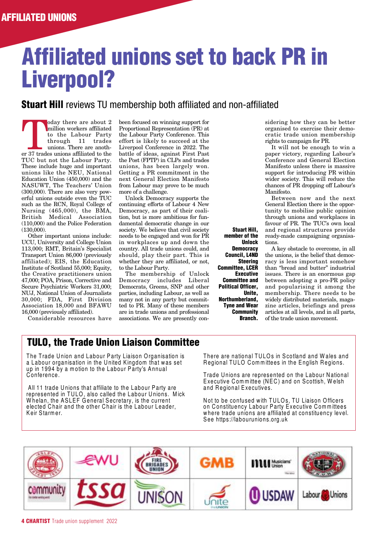# **Affiliated unions set to back PR in Liverpool?**

### **Stuart Hill** reviews TU membership both affiliated and non-affiliated

er albout 2<br>
million workers affiliated<br>
to the Labour Party<br>
through 11 trades<br>
unions. There are another<br>
37 trades unions affiliated to the million workers affiliated to the Labour Party through 11 trades unions. There are anoth-TUC but not the Labour Party. These include huge and important unions like the NEU, National Education Union (450,000) and the NASUWT, The Teachers' Union (300,000). There are also very powerful unions outside even the TUC such as the RCN, Royal College of Nursing (465,000), the BMA, British Medical Association (110,000) and the Police Federation (130,000).

Other important unions include: UCU, University and College Union 113,000; RMT, Britain's Specialist Transport Union 86,000 (previously affiliated); EIS, the Education Institute of Scotland 55,000; Equity, the Creative practitioners union 47,000; POA, Prison, Corrective and Secure Psychiatric Workers 31,000; NUJ, National Union of Journalists 30,000; FDA, First Division Association 18,000 and BFAWU 16,000 (previously affiliated).

Considerable resources have

been focused on winning support for Proportional Representation (PR) at the Labour Party Conference. This effort is likely to succeed at the Liverpool Conference in 2022. The battle of ideas, against First Past the Post (FPTP) in CLPs and trades unions, has been largely won. Getting a PR commitment in the next General Election Manifesto from Labour may prove to be much more of a challenge.

Unlock Democracy supports the continuing efforts of Labour 4 New Democracy, as part of their coalition, but is more ambitious for fundamental democratic change in our society. We believe that civil society needs to be engaged and won for PR in workplaces up and down the country. All trade unions could, and should, play their part. This is whether they are affiliated, or not, to the Labour Party.

The membership of Unlock Democracy includes Liberal Democrats, Greens, SNP and other parties, including Labour, as well as many not in any party but committed to PR. Many of these members are in trade unions and professional associations. We are presently con-

**Stuart Hill, member of the Unlock Democracy Council, L4ND Steering Committee, LCER Executive Committee and Political Officer, Unite, Northumberland, Tyne and Wear Community Branch.**

sidering how they can be better organised to exercise their democratic trade union membership rights to campaign for PR.

It will not be enough to win a paper victory, regarding Labour's Conference and General Election Manifesto unless there is massive support for introducing PR within wider society. This will reduce the chances of PR dropping off Labour's Manifesto.

Between now and the next General Election there is the opportunity to mobilise public opinion through unions and workplaces in favour of PR. The TUC's own local and regional structures provide ready-made campaigning organisations.

A key obstacle to overcome, in all the unions, is the belief that democracy is less important somehow than "bread and butter" industrial issues. There is an enormous gap between adopting a pro-PR policy and popularising it among the membership. There needs to be widely distributed materials, magazine articles, briefings and press articles at all levels, and in all parts, of the trade union movement.

# **TULO, the Trade Union Liaison Committee**

The Trade Union and Labour Party Liaison Organisation is a Labour organisation in the United Kingdom that was set up in 1994 by a motion to the Labour Party's Annual Conference.

All 11 trade Unions that affiliate to the Labour Party are represented in TULO, also called the Labour Unions. Mick W helan, the ASLEF General Secretary, is the current elected Chair and the other Chair is the Labour Leader, Keir Starmer.

There are national TULOs in Scotland and W ales and Regional TULO Committees in the English Regions.

Trade Unions are represented on the Labour National Executive Committee (NEC) and on Scottish, W elsh and Regional Executives.

Not to be confused with TULOs, TU Liaison Officers on Constituency Labour Party Executive Committees where trade unions are affiliated at constituency level. See https://labourunions.org.uk

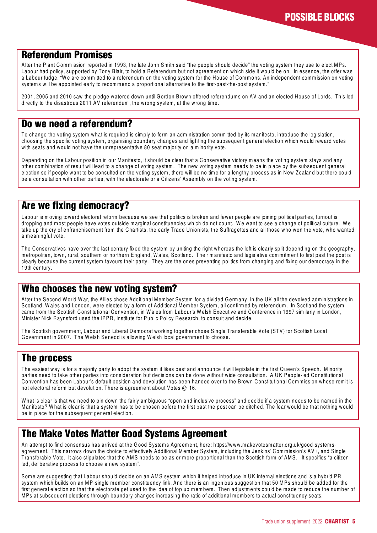# **Referendum Promises**

After the Plant Commission reported in 1993, the late John Smith said "the people should decide" the voting system they use to elect MPs. Labour had policy, supported by Tony Blair, to hold a Referendum but not agreement on which side it would be on. In essence, the offer was a Labour fudge. "W e are committed to a referendum on the voting system for the House of Commons. An independent commission on voting systems will be appointed early to recommend a proportional alternative to the first-past-the-post system."

2001, 2005 and 2010 saw the pledge watered down until Gordon Brown offered referendums on AV and an elected House of Lords. This led directly to the disastrous 2011 AV referendum, the wrong system, at the wrong time.

### **Do we need a referendum?**

To change the voting system what is required is simply to form an administration committed by its manifesto, introduce the legislation, choosing the specific voting system, organising boundary changes and fighting the subsequent general election which would reward votes with seats and would not have the unrepresentative 80 seat majority on a minority vote.

Depending on the Labour position in our Manifesto, it should be clear that a Conservative victory means the voting system stays and any other combination of result will lead to a change of voting system. The new voting system needs to be in place by the subsequent general election so if people want to be consulted on the voting system, there will be no time for a lengthy process as in New Zealand but there could be a consultation with other parties, with the electorate or a Citizens' Assembly on the voting system.

### **Are we fixing democracy?**

Labour is moving toward electoral reform because we see that politics is broken and fewer people are joining political parties, turnout is dropping and most people have votes outside marginal constituencies which do not count. W e want to see a change of political culture. W e take up the cry of enfranchisement from the Chartists, the early Trade Unionists, the Suffragettes and all those who won the vote, who wanted a meaningful vote.

The Conservatives have over the last century fixed the system by uniting the right whereas the left is clearly split depending on the geography, metropolitan, town, rural, southern or northern England, W ales, Scotland. Their manifesto and legislative commitment to first past the post is clearly because the current system favours their party. They are the ones preventing politics from changing and fixing our democracy in the 19th century.

### **Who chooses the new voting system?**

After the Second W orld W ar, the Allies chose Additional Member System for a divided Germany. In the UK all the devolved administrations in Scotland, W ales and London, were elected by a form of Additional Member System, all confirmed by referendum. In Scotland the system came from the Scottish Constitutional Convention, in W ales from Labour's W elsh Executive and Conference in 1997 similarly in London, Minister Nick Raynsford used the IPPR, Institute for Public Policy Research, to consult and decide.

The Scottish government, Labour and Liberal Democrat working together chose Single Transferable Vote (STV) for Scottish Local Government in 2007. The W elsh Senedd is allowing W elsh local government to choose.

### **The process**

The easiest way is for a majority party to adopt the system it likes best and announce it will legislate in the first Queen's Speech. Minority parties need to take other parties into consideration but decisions can be done without wide consultation. A UK People-led Constitutional Convention has been Labour's default position and devolution has been handed over to the Brown Constitutional Commission whose remit is not electoral reform but devolution. There is agreement about Votes @ 16.

W hat is clear is that we need to pin down the fairly ambiguous "open and inclusive process" and decide if a system needs to be named in the Manifesto? W hat is clear is that a system has to be chosen before the first past the post can be ditched. The fear would be that nothing would be in place for the subsequent general election.

# **The Make Votes Matter Good Systems Agreement**

An attempt to find consensus has arrived at the Good Systems Agreement, here: https://www.makevotesmatter.org.uk/good-systemsagreement. This narrows down the choice to effectively Additional Member System, including the Jenkins' Commission's AV+, and Single Transferable Vote. It also stipulates that the AMS needs to be as or more proportional than the Scottish form of AMS. It specifies "a citizenled, deliberative process to choose a new system".

Some are suggesting that Labour should decide on an AMS system which it helped introduce in UK internal elections and is a hybrid PR system which builds on an MP-single member constituency link. And there is an ingenious suggestion that 50 MPs should be added for the first general election so that the electorate get used to the idea of top up members. Then adjustments could be made to reduce the number of MPs at subsequent elections through boundary changes increasing the ratio of additional members to actual constituency seats.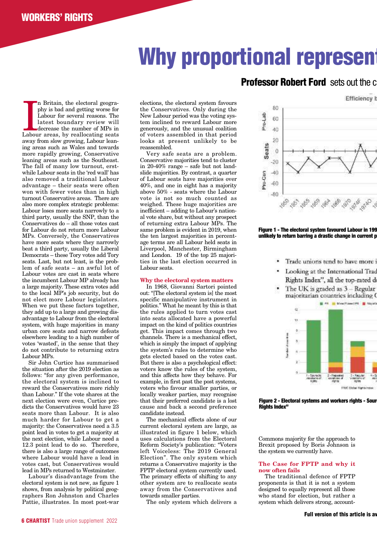# **Why proportional represent**

In Britain, the electoral geography is bad and getting worse for Labour for several reasons. The latest boundary review will decrease the number of MPs in Labour areas, by reallocating seats n Britain, the electoral geography is bad and getting worse for Labour for several reasons. The latest boundary review will decrease the number of MPs in away from slow growing, Labour leaning areas such as Wales and towards more rapidly growing, Conservative leaning areas such as the Southeast. The fall of many low turnout, erstwhile Labour seats in the 'red wall' has also removed a traditional Labour advantage – their seats were often won with fewer votes than in high turnout Conservative areas. There are also more complex strategic problems: Labour loses more seats narrowly to a third party, usually the SNP, than the Conservatives do – all those votes cast for Labour do not return more Labour MPs. Conversely, the Conservatives have more seats where they narrowly beat a third party, usually the Liberal Democrats – these Tory votes add Tory seats. Last, but not least, is the problem of safe seats – an awful lot of Labour votes are cast in seats where the incumbent Labour MP already has a large majority. These extra votes add to the local MP's job security, but do not elect more Labour legislators. When we put these factors together, they add up to a large and growing disadvantage to Labour from the electoral system, with huge majorities in many urban core seats and narrow defeats elsewhere leading to a high number of votes 'wasted', in the sense that they do not contribute to returning extra Labour MPs.

Sir John Curtice has summarised the situation after the 2019 election as follows: "for any given performance, the electoral system is inclined to reward the Conservatives more richly than Labour." If the vote shares at the next election were even, Curtice predicts the Conservatives would have 23 seats more than Labour. It is also much harder for Labour to get a majority: the Conservatives need a 3.5 point lead in votes to get a majority at the next election, while Labour need a 12.3 point lead to do so. Therefore, there is also a large range of outcomes where Labour would have a lead in votes cast, but Conservatives would lead in MPs returned to Westminster.

Labour's disadvantage from the electoral system is not new, as figure 1 shows, from analysis by political geographers Ron Johnston and Charles Pattie, illustrates. In most post-war

elections, the electoral system favours the Conservatives. Only during the New Labour period was the voting system inclined to reward Labour more generously, and the unusual coalition of voters assembled in that period looks at present unlikely to be reassembled.

Very safe seats are a problem. Conservative majorities tend to cluster in 20-40% range – safe but not landslide majorities. By contrast, a quarter of Labour seats have majorities over 40%, and one in eight has a majority above 50% - seats where the Labour vote is not so much counted as weighed. These huge majorities are inefficient – adding to Labour's national vote share, but without any prospect of returning extra Labour MPs. The same problem is evident in 2019, when the ten largest majorities in percentage terms are all Labour held seats in Liverpool, Manchester, Birmingham and London. 19 of the top 25 majorities in the last election occurred in Labour seats.

#### **Why the electoral system matters**

In 1968, Giovanni Sartori pointed out: "[The electoral system is] the most specific manipulative instrument in politics." What he meant by this is that the rules applied to turn votes cast into seats allocated have a powerful impact on the kind of politics countries get. This impact comes through two channels. There is a mechanical effect, which is simply the impact of applying the system's rules to determine who gets elected based on the votes cast. But there is also a psychological effect: voters know the rules of the system, and this affects how they behave. For example, in first past the post systems, voters who favour smaller parties, or locally weaker parties, may recognise that their preferred candidate is a lost cause and back a second preference candidate instead.

The mechanical effects alone of our current electoral system are large, as illustrated in figure 1 below, which uses calculations from the Electoral Reform Society's publication: "Voters left Voiceless: The 2019 General Election". The only system which returns a Conservative majority is the FPTP electoral system currently used. The primary effects of shifting to any other system are to reallocate seats away from the Conservatives and towards smaller parties.

The only system which delivers a

### **Professor Robert Ford** sets out the c

**Efficiency b** 



**Figure 1 - The electoral system favoured Labour in 199 unlikely to return barring a drastic change in current p**

- Trade unions tend to have more i
- · Looking at the International Trac Rights Index", all the top-rated d
- The UK is graded as 3 Regular majoritarian countries including (



**Figure 2 - Electoral systems and workers rights - Sourc Rights Index"**

Commons majority for the approach to Brexit proposed by Boris Johnson is the system we currently have.

#### **The Case for FPTP and why it now often fails**

The traditional defence of FPTP proponents is that it is not a system designed to equally represent all those who stand for election, but rather a system which delivers strong, account-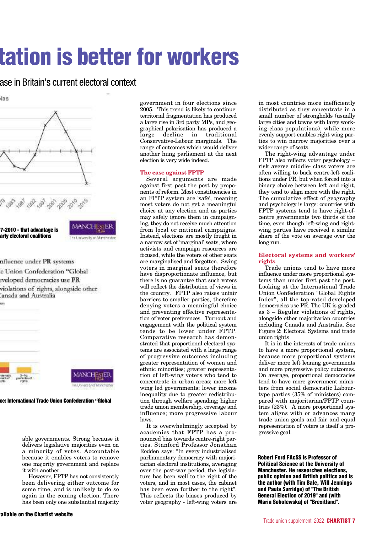# **tation is better for workers**

### ase in Britain's current electoral context

ias



nfluence under PR systems

- e Union Confederation "Global
- eveloped democracies use PR
- violations of rights, alongside other anada and Australia



**ce: International Trade Union Confederation "Global**

able governments. Strong because it delivers legislative majorities even on a minority of votes. Accountable because it enables voters to remove one majority government and replace it with another.

However, FPTP has not consistently been delivering either outcome for some time, and is unlikely to do so again in the coming election. There has been only one substantial majority government in four elections since 2005. This trend is likely to continue: territorial fragmentation has produced a large rise in 3rd party MPs, and geographical polarisation has produced a large decline in traditional Conservative-Labour marginals. The range of outcomes which would deliver another hung parliament at the next election is very wide indeed.

#### **The case against FPTP**

Several arguments are made against first past the post by proponents of reform. Most constituencies in an FPTP system are 'safe', meaning most voters do not get a meaningful choice at any election and as parties may safely ignore them in campaigning, they do not receive much attention from local or national campaigns. Instead, elections are mostly fought in a narrow set of 'marginal' seats, where activists and campaign resources are focused, while the voters of other seats are marginalised and forgotten. Swing voters in marginal seats therefore have disproportionate influence, but there is no guarantee that such voters will reflect the distribution of views in the country. FPTP also raises unfair barriers to smaller parties, therefore denying voters a meaningful choice and preventing effective representation of voter preferences. Turnout and engagement with the political system tends to be lower under FPTP. Comparative research has demonstrated that proportional electoral systems are associated with a large range of progressive outcomes including greater representation of women and ethnic minorities; greater representation of left-wing voters who tend to concentrate in urban areas; more left wing led governments; lower income inequality due to greater redistribution through welfare spending; higher trade union membership, coverage and influence; more progressive labour laws.

It is overwhelmingly accepted by academics that FPTP has a pronounced bias towards centre-right parties. Stanford Professor Jonathan Rodden says: "In every industrialised parliamentary democracy with majoritarian electoral institutions, averaging over the post-war period, the legislature has been well to the right of the voters, and in most cases, the cabinet has been even further to the right". This reflects the biases produced by voter geography - left-wing voters are

in most countries more inefficiently distributed as they concentrate in a small number of strongholds (usually large cities and towns with large working-class populations), while more evenly support enables right wing parties to win narrow majorities over a wider range of seats.

The right-wing advantage under FPTP also reflects voter psychology – risk averse middle- class voters are often willing to back centre-left coalitions under PR, but when forced into a binary choice between left and right, they tend to align more with the right. The cumulative effect of geography and psychology is large: countries with FPTP systems tend to have right-ofcentre governments two thirds of the time, even though left-wing and rightwing parties have received a similar share of the vote on average over the long run.

#### **Electoral systems and workers' rights**

Trade unions tend to have more influence under more proportional systems than under first past the post. Looking at the International Trade Union Confederation "Global Rights Index", all the top-rated developed democracies use PR. The UK is graded as 3 – Regular violations of rights, alongside other majoritarian countries including Canada and Australia. See Figure 2: Electoral Systems and trade union rights

It is in the interests of trade unions to have a more proportional system, because more proportional systems deliver more left leaning governments and more progressive policy outcomes. On average, proportional democracies tend to have more government ministers from social democratic Labourtype parties (35% of ministers) compared with majoritarian/FPTP countries (23%). A more proportional system aligns with or advances many trade union goals and fair and equal representation of voters is itself a progressive goal.

**Robert Ford FAcSS is Professor of Political Science at the University of Manchester. He researches elections, public opinion and British politics and is the author (with Tim Bale, Will Jennings and Paula Surridge) of "The British General Election of 2019" and (with Maria Sobolewska) of "Brexitland".**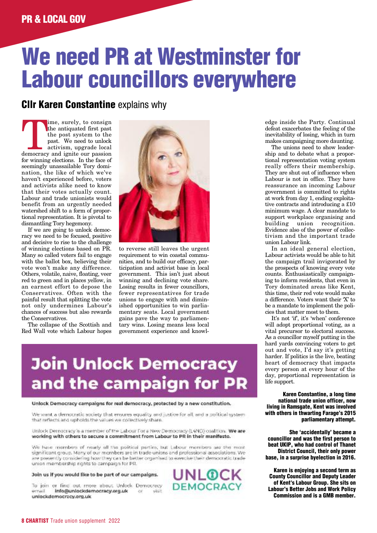# **We need PR at Westminster for Labour councillors everywhere**

### **Cllr Karen Constantine** explains why

Time, surely, to consign<br>the antiquated first past<br>the post system to the<br>past. We need to unlock<br>activism, upgrade local<br>democracy and ignite our passion the antiquated first past the post system to the past. We need to unlock activism, upgrade local for winning elections. In the face of seemingly unassailable Tory domination, the like of which we've haven't experienced before, voters and activists alike need to know that their votes actually count. Labour and trade unionists would benefit from an urgently needed watershed shift to a form of proportional representation. It is pivotal to dismantling Tory hegemony.

If we are going to unlock democracy we need to be focused, positive and decisive to rise to the challenge of winning elections based on PR. Many so called voters fail to engage with the ballot box, believing their vote won't make any difference. Others, volatile, naive, floating, veer red to green and in places yellow, in an earnest effort to depose the Conservatives. Often with the painful result that splitting the vote not only undermines Labour's chances of success but also rewards the Conservatives.

The collapse of the Scottish and Red Wall vote which Labour hopes



to reverse still leaves the urgent requirement to win coastal communities, and to build our efficacy, participation and activist base in local government. This isn't just about winning and declining vote share. Losing results in fewer councillors, fewer representatives for trade unions to engage with and diminished opportunities to win parliamentary seats. Local government gains pave the way to parliamentary wins. Losing means less local government experience and knowl-

# **Join Unlock Democracy** and the campaign for PR

#### Unlock Democracy campaigns for real democracy, protected by a new constitution.

We want a democratic acciety that ensures equality and justice for all, and a political system that reflects and upholds the values we collectively share.

Unlock Democracy is a member of the Labour For a New Democracy (L4ND) coalition. We are working with others to secure a commitment from Labour to PR in their manifesto.

We have members of rearly all the political parties, but Labour members are the most significant group. Many of our members are in trade unions and professional associations. We are presently considering how they can be better organised to exercise their democratic trade union membership rights to campaign for PR.

#### Join us if you would like to be part of our campaigns.

To join or find out more about Unlock Democracy Info@unlockdemocracy.org.uk ernail visit -CVT unlockdemocracy.org.uk



edge inside the Party. Continual defeat exacerbates the feeling of the inevitability of losing, which in turn makes campaigning more daunting.

The unions need to show leadership and to debate what a proportional representation voting system really offers their membership. They are shut out of influence when Labour is not in office. They have reassurance an incoming Labour government is committed to rights at work from day 1, ending exploitative contracts and introducing a £10 minimum wage. A clear mandate to support workplace organising and building union recognition. Evidence also of the power of collectivism and the important trade union Labour link.

In an ideal general election, Labour activists would be able to hit the campaign trail invigorated by the prospects of knowing every vote counts. Enthusiastically campaigning to inform residents, that even in Tory dominated areas like Kent, this time, their red vote would make a difference. Voters want their 'X' to be a mandate to implement the policies that matter most to them.

It's not 'if', it's 'when' conference will adopt proportional voting, as a vital precursor to electoral success. As a councillor myself putting in the hard yards convincing voters to get out and vote, I'd say it's getting harder. If politics is the live, beating heart of democracy that impacts every person at every hour of the day, proportional representation is life support.

**Karen Constantine, a long time national trade union officer, now living in Ramsgate, Kent was involved with others in thwarting Farage's 2015 parliamentary attempt.**

**She 'accidentally' became a councillor and was the first person to beat UKIP, who had control of Thanet District Council, their only power base, in a surprise byelection in 2016.**

**Karen is enjoying a second term as County Councillor and Deputy Leader of Kent's Labour Group. She sits on Labour's Better Jobs and Work Policy Commission and is a GMB member.**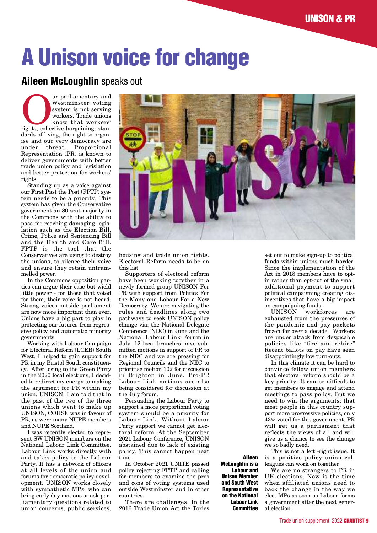# **A Unison voice for change**

### **Aileen McLoughlin** speaks out

Westminster voting<br>
system is not serving<br>
system is not serving<br>
workers. Trade unions<br>
know that workers'<br>
rights, collective bargaining, stan-Westminster voting system is not serving workers. Trade unions know that workers' dards of living, the right to organise and our very democracy are under threat. Proportional Representation (PR) is known to deliver governments with better trade union policy and legislation and better protection for workers' rights.

Standing up as a voice against our First Past the Post (FPTP) system needs to be a priority. This system has given the Conservative government an 80-seat majority in the Commons with the ability to pass far-reaching damaging legislation such as the Election Bill, Crime, Police and Sentencing Bill and the Health and Care Bill. FPTP is the tool that the Conservatives are using to destroy the unions, to silence their voice and ensure they retain untrammelled power.

In the Commons opposition parties can argue their case but wield little power - for those that voted for them, their voice is not heard. Strong voices outside parliament are now more important than ever. Unions have a big part to play in protecting our futures from regressive policy and autocratic minority governments.

Working with Labour Campaign for Electoral Reform (LCER) South West, I helped to gain support for PR in my Bristol South constituency. After losing to the Green Party in the 2020 local elections, I decided to redirect my energy to making the argument for PR within my union, UNISON. I am told that in the past of the two of the three unions which went to make up UNISON, COHSE was in favour of PR, as were many NUPE members and NUPE Scotland.

I was recently elected to represent SW UNISON members on the National Labour Link Committee. Labour Link works directly with and takes policy to the Labour Party. It has a network of officers at all levels of the union and forums for democratic policy development. UNISON works closely with sympathetic MPs, who can bring early day motions or ask parliamentary questions related to union concerns, public services,



housing and trade union rights. Electoral Reform needs to be on this list

Supporters of electoral reform have been working together in a newly formed group UNISON For PR with support from Politics For the Many and Labour For a New Democracy. We are navigating the rules and deadlines along two pathways to seek UNISON policy change via: the National Delegate Conference (NDC) in June and the National Labour Link Forum in July. 12 local branches have submitted motions in support of PR to the NDC and we are pressing for Regional Councils and the NEC to prioritise motion 102 for discussion in Brighton in June. Pro-PR Labour Link motions are also being considered for discussion at the July forum.

Persuading the Labour Party to support a more proportional voting system should be a priority for Labour Link. Without Labour Party support we cannot get electoral reform. At the September 2021 Labour Conference, UNISON abstained due to lack of existing policy. This cannot happen next time.

In October 2021 UNITE passed policy rejecting FPTP and calling for members to examine the pros and cons of voting systems used outside Westminster and in other countries.

There are challenges. In the 2016 Trade Union Act the Tories

**Aileen McLoughlin is a Labour and Unison Member and South West Representative on the National Labour Link Committee**

set out to make sign-up to political funds within unions much harder. Since the implementation of the Act in 2018 members have to optin rather than opt-out of the small additional payment to support political campaigning creating disincentives that have a big impact on campaigning funds.

UNISON workforces exhausted from the pressures of the pandemic and pay packets frozen for over a decade. Workers are under attack from despicable policies like "fire and rehire" Recent ballots on pay have seen disappointingly low turn-outs.

In this climate it can be hard to convince fellow union members that electoral reform should be a key priority. It can be difficult to get members to engage and attend meetings to pass policy. But we need to win the arguments: that most people in this country support more progressive policies, only 43% voted for this government. PR will get us a parliament that reflects the views of all and will give us a chance to see the change we so badly need.

This is not a left -right issue. It is a positive policy union colleagues can work on together

We are no strangers to PR in UK elections. Now is the time when affiliated unions need to back the change in the way we elect MPs as soon as Labour forms a government after the next general election.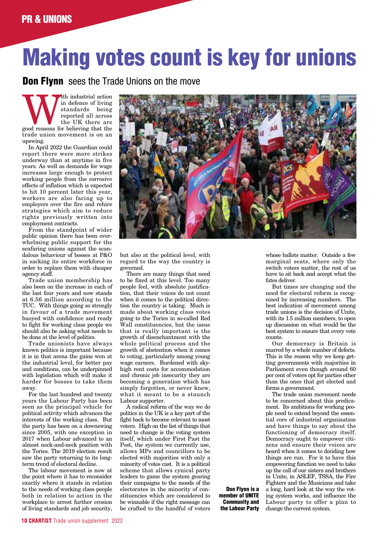# **Making votes count is key for unions**

**Don Flynn** sees the Trade Unions on the move

With industrial action<br>
in defence of living<br>
standards being<br>
reported all across<br>
the UK there are<br>
good reasons for believing that the in defence of living standards being reported all across the UK there are trade union movement is on an upswing.

In April 2022 the Guardian could report there were more strikes underway than at anytime in five years. As well as demands for wage increases large enough to protect working people from the corrosive effects of inflation which is expected to hit 10 percent later this year, workers are also facing up to employers over the fire and rehire strategies which aim to reduce rights previously written into employment contracts.

From the standpoint of wider public opinion there has been overwhelming public support for the seafaring unions against the scandalous behaviour of bosses at P&O in sacking its entire workforce in order to replace them with cheaper agency staff.

Trade union membership has also been on the increase in each of the last four years and now stands at 6.56 million according to the TUC. With things going so strongly in favour of a trade movement buoyed with confidence and ready to fight for working class people we should also be asking what needs to be done at the level of politics.

Trade unionists have always known politics is important because it is in that arena the gains won at the industrial level, for better pay and conditions, can be underpinned with legislation which will make it harder for bosses to take them away.

For the last hundred and twenty years the Labour Party has been seen as the principal vehicle for political activity which advances the interests of the working class. But the party has been on a downswing since 2005, with one exception in 2017 when Labour advanced to an almost neck-and-neck position with the Tories. The 2019 election result saw the party returning to its longterm trend of electoral decline.

The labour movement is now at the point where it has to reconsider exactly where it stands in relation to the needs of working class people both in relation to action in the workplace to arrest further erosion of living standards and job security,



**Don Flynn is a member of UNITE Community and the Labour Party**

but also at the political level, with regard to the way the country is governed.

There are many things that need to be fixed at this level. Too many people feel, with absolute justification, that their voices do not count when it comes to the political direction the country is taking. Much is made about working class votes going to the Tories in so-called Red Wall constituencies, but the issue that is really important is the growth of disenchantment with the whole political process and the growth of abstention when it comes to voting, particularly among young wage earners. Burdened with skyhigh rent costs for accommodation and chronic job insecurity they are becoming a generation which has simply forgotten, or never knew, what it meant to be a staunch Labour supporter.

A radical reform of the way we do politics in the UK is a key part of the fight back to become relevant to most voters. High on the list of things that need to change is the voting system itself, which under First Past the Post, the system we currently use, allows MPs and councillors to be elected with majorities with only a minority of votes cast. It is a political scheme that allows cynical party leaders to game the system gearing their campaigns to the moods of the electorates in the minority of constituencies which are considered to be winnable if the right message can be crafted to the handful of voters

whose ballots matter. Outside a few marginal seats, where only the switch voters matter, the rest of us have to sit back and accept what the fates deliver.

But times are changing and the need for electoral reform is recognised by increasing numbers. The best indication of movement among trade unions is the decision of Unite, with its 1.5 million members, to open up discussion on what would be the best system to ensure that every vote counts.

Our democracy is Britain is marred by a whole number of defects. This is the reason why we keep getting governments with majorities in Parliament even though around 60 per cent of voters opt for parties other than the ones that get elected and forms a government.

The trade union movement needs to be concerned about this predicament. Its ambitions for working people need to extend beyond the essential core of industrial organisation and have things to say about the functioning of democracy itself. Democracy ought to empower citizens and ensure their voices are heard when it comes to deciding how things are run. For it to have this empowering function we need to take up the call of our sisters and brothers in Unite, in ASLEF, TSSA, the Fire Fighters and the Musicians and take a long, hard look at the way the voting system works, and influence the Labour party to offer a plan to change the current system.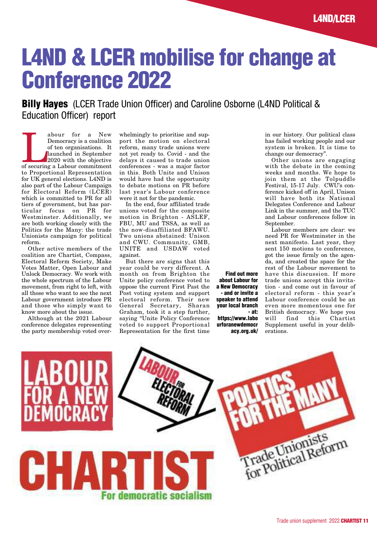# **L4ND & LCER mobilise for change at Conference 2022**

**Billy Hayes** (LCER Trade Union Officer) and Caroline Osborne (L4ND Political & Education Officer) report

abour for a New Democracy is a coalition<br>of ten organisations. It<br>launched in September<br>2020 with the objective<br>of securing a Labour commitment Democracy is a coalition of ten organisations. It launched in September 2020 with the objective to Proportional Representation for UK general elections. L4ND is also part of the Labour Campaign for Electoral Reform (LCER) which is committed to PR for all tiers of government, but has particular focus on PR for Westminster. Additionally, we are both working closely with the Politics for the Many: the trade Unionists campaign for political reform.

Other active members of the coalition are Chartist, Compass, Electoral Reform Society, Make Votes Matter, Open Labour and Unlock Democracy. We work with the whole spectrum of the Labour movement, from right to left, with all those who want to see the next Labour government introduce PR and those who simply want to know more about the issue.

Although at the 2021 Labour conference delegates representing the party membership voted overwhelmingly to prioritise and support the motion on electoral reform, many trade unions were not yet ready to. Covid - and the delays it caused to trade union conferences - was a major factor in this. Both Unite and Unison would have had the opportunity to debate motions on PR before last year's Labour conference were it not for the pandemic.

In the end, four affiliated trade unions voted for the composite motion in Brighton - ASLEF, FBU, MU and TSSA, as well as the now-disaffiliated BFAWU. Two unions abstained: Unison and CWU. Community, GMB, UNITE and USDAW voted against.

But there are signs that this year could be very different. A month on from Brighton the Unite policy conference voted to oppose the current First Past the Post voting system and support electoral reform. Their new General Secretary, Sharan Graham, took it a step further, saying "Unite Policy Conference voted to support Proportional Representation for the first time

**Find out more about Labour for a New Democracy - and or invite a speaker to attend your local branch - at: https://www.labo**

**urforanewdemocr acy.org.uk/** in our history. Our political class has failed working people and our system is broken. It is time to change our democracy".

Other unions are engaging with the debate in the coming weeks and months. We hope to join them at the Tolpuddle Festival, 15-17 July. CWU's conference kicked off in April, Unison will have both its National Delegates Conference and Labour Link in the summer, and the TUC and Labour conferences follow in September.

Labour members are clear: we need PR for Westminster in the next manifesto. Last year, they sent 150 motions to conference, got the issue firmly on the agenda, and created the space for the rest of the Labour movement to have this discussion. If more trade unions accept this invitation - and come out in favour of electoral reform - this year's Labour conference could be an even more momentous one for British democracy. We hope you will find this Chartist Supplement useful in your deliberations.